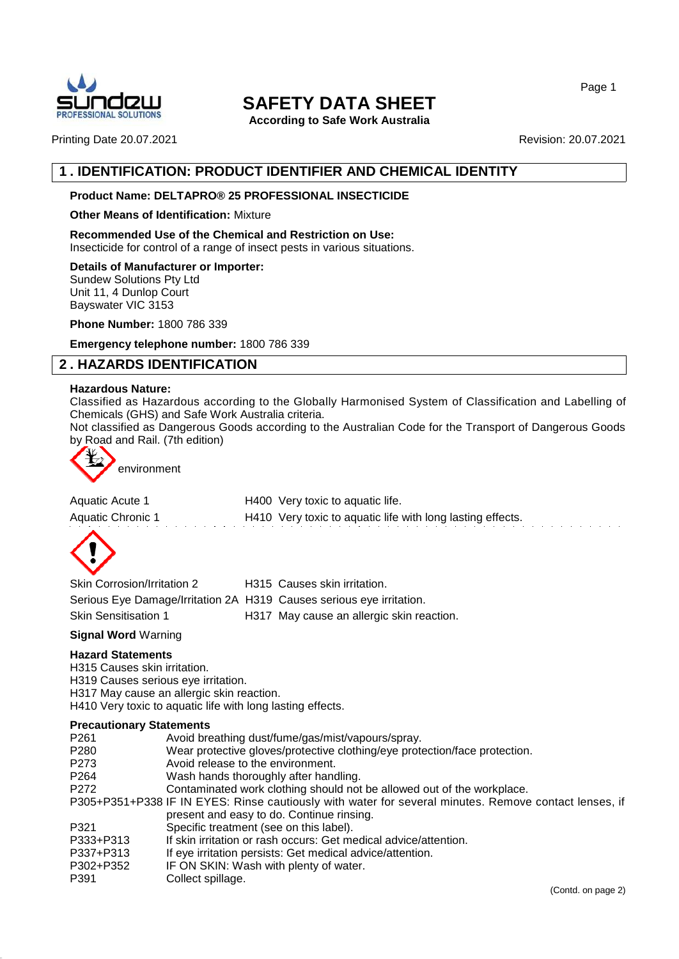

**According to Safe Work Australia**

Page 1

Printing Date 20.07.2021 2008 20:07 20:07 20:07 20:07 20:07 20:07 20:07 20:07 20:07

# **1 . IDENTIFICATION: PRODUCT IDENTIFIER AND CHEMICAL IDENTITY**

# **Product Name: DELTAPRO® 25 PROFESSIONAL INSECTICIDE**

## **Other Means of Identification:** Mixture

**Recommended Use of the Chemical and Restriction on Use:** Insecticide for control of a range of insect pests in various situations.

**Details of Manufacturer or Importer:**

Sundew Solutions Pty Ltd Unit 11, 4 Dunlop Court Bayswater VIC 3153

**Phone Number:** 1800 786 339

**Emergency telephone number:** 1800 786 339

# **2 . HAZARDS IDENTIFICATION**

## **Hazardous Nature:**

Classified as Hazardous according to the Globally Harmonised System of Classification and Labelling of Chemicals (GHS) and Safe Work Australia criteria.

Not classified as Dangerous Goods according to the Australian Code for the Transport of Dangerous Goods by Road and Rail. (7th edition)



environment

| Aquatic Acute 1   | H400 Very toxic to aquatic life.                           |
|-------------------|------------------------------------------------------------|
| Aquatic Chronic 1 | H410 Very toxic to aquatic life with long lasting effects. |
|                   |                                                            |



| <b>Skin Corrosion/Irritation 2</b>                                   | H315 Causes skin irritation.              |
|----------------------------------------------------------------------|-------------------------------------------|
| Serious Eye Damage/Irritation 2A H319 Causes serious eye irritation. |                                           |
| <b>Skin Sensitisation 1</b>                                          | H317 May cause an allergic skin reaction. |

**Signal Word** Warning

## **Hazard Statements**

H315 Causes skin irritation.

H319 Causes serious eye irritation.

H317 May cause an allergic skin reaction.

H410 Very toxic to aquatic life with long lasting effects.

## **Precautionary Statements**

- P261 Avoid breathing dust/fume/gas/mist/vapours/spray.
- P280 Wear protective gloves/protective clothing/eye protection/face protection.
- P273 Avoid release to the environment.
- P264 Wash hands thoroughly after handling.
- P272 Contaminated work clothing should not be allowed out of the workplace.

P305+P351+P338 IF IN EYES: Rinse cautiously with water for several minutes. Remove contact lenses, if present and easy to do. Continue rinsing.

- P321 Specific treatment (see on this label).
- P333+P313 If skin irritation or rash occurs: Get medical advice/attention.
- P337+P313 If eye irritation persists: Get medical advice/attention.
- P302+P352 IF ON SKIN: Wash with plenty of water.
- P391 Collect spillage.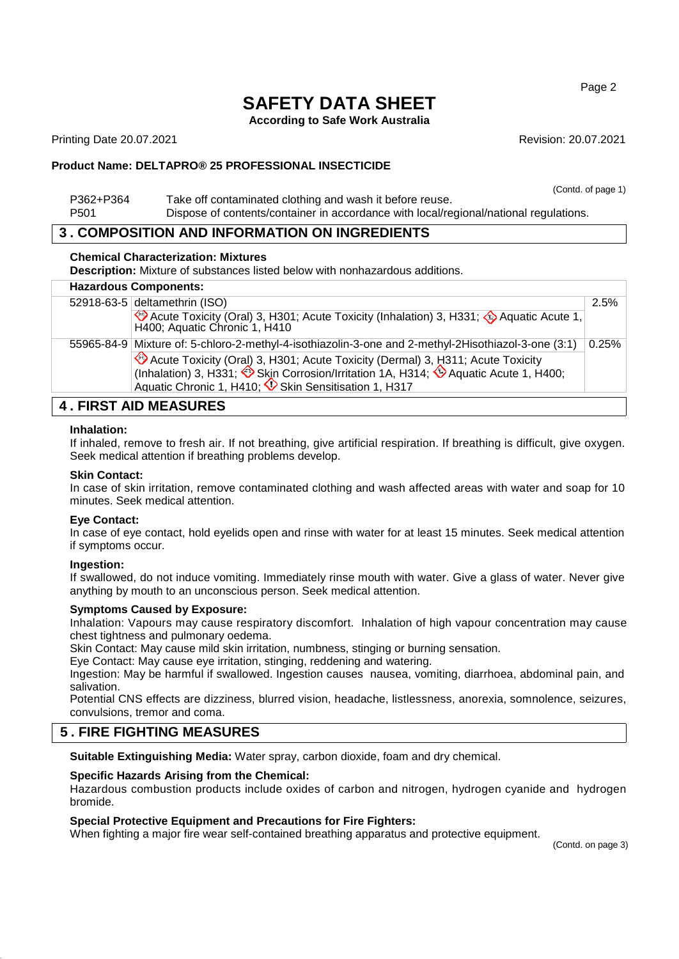**According to Safe Work Australia**

Printing Date 20.07.2021 **Revision: 20.07.2021** Revision: 20.07.2021

# **Product Name: DELTAPRO® 25 PROFESSIONAL INSECTICIDE**

|                  | (Contd. of page 1)                                                                    |
|------------------|---------------------------------------------------------------------------------------|
| P362+P364        | Take off contaminated clothing and wash it before reuse.                              |
| P <sub>501</sub> | Dispose of contents/container in accordance with local/regional/national regulations. |

# **3 . COMPOSITION AND INFORMATION ON INGREDIENTS**

## **Chemical Characterization: Mixtures**

**Description:** Mixture of substances listed below with nonhazardous additions.

|  | <b>Hazardous Components:</b>                                                                                                                                                                                                      |       |
|--|-----------------------------------------------------------------------------------------------------------------------------------------------------------------------------------------------------------------------------------|-------|
|  | 52918-63-5 deltamethrin (ISO)                                                                                                                                                                                                     |       |
|  | Acute Toxicity (Oral) 3, H301; Acute Toxicity (Inhalation) 3, H331; Aquatic Acute 1,<br>H400; Aquatic Chronic 1, H410                                                                                                             |       |
|  | 55965-84-9 Mixture of: 5-chloro-2-methyl-4-isothiazolin-3-one and 2-methyl-2Hisothiazol-3-one (3:1)                                                                                                                               | 0.25% |
|  | → Acute Toxicity (Oral) 3, H301; Acute Toxicity (Dermal) 3, H311; Acute Toxicity<br>(Inhalation) 3, H331; → Skin Corrosion/Irritation 1A, H314; → Aquatic Acute 1, H400;<br>Aquatic Chronic 1, H410; V Skin Sensitisation 1, H317 |       |
|  |                                                                                                                                                                                                                                   |       |

# **4 . FIRST AID MEASURES**

#### **Inhalation:**

If inhaled, remove to fresh air. If not breathing, give artificial respiration. If breathing is difficult, give oxygen. Seek medical attention if breathing problems develop.

## **Skin Contact:**

In case of skin irritation, remove contaminated clothing and wash affected areas with water and soap for 10 minutes. Seek medical attention.

## **Eye Contact:**

In case of eye contact, hold eyelids open and rinse with water for at least 15 minutes. Seek medical attention if symptoms occur.

## **Ingestion:**

If swallowed, do not induce vomiting. Immediately rinse mouth with water. Give a glass of water. Never give anything by mouth to an unconscious person. Seek medical attention.

## **Symptoms Caused by Exposure:**

Inhalation: Vapours may cause respiratory discomfort. Inhalation of high vapour concentration may cause chest tightness and pulmonary oedema.

Skin Contact: May cause mild skin irritation, numbness, stinging or burning sensation.

Eye Contact: May cause eye irritation, stinging, reddening and watering.

Ingestion: May be harmful if swallowed. Ingestion causes nausea, vomiting, diarrhoea, abdominal pain, and salivation.

Potential CNS effects are dizziness, blurred vision, headache, listlessness, anorexia, somnolence, seizures, convulsions, tremor and coma.

# **5 . FIRE FIGHTING MEASURES**

**Suitable Extinguishing Media:** Water spray, carbon dioxide, foam and dry chemical.

## **Specific Hazards Arising from the Chemical:**

Hazardous combustion products include oxides of carbon and nitrogen, hydrogen cyanide and hydrogen bromide.

## **Special Protective Equipment and Precautions for Fire Fighters:**

When fighting a major fire wear self-contained breathing apparatus and protective equipment.

(Contd. on page 3)

Page 2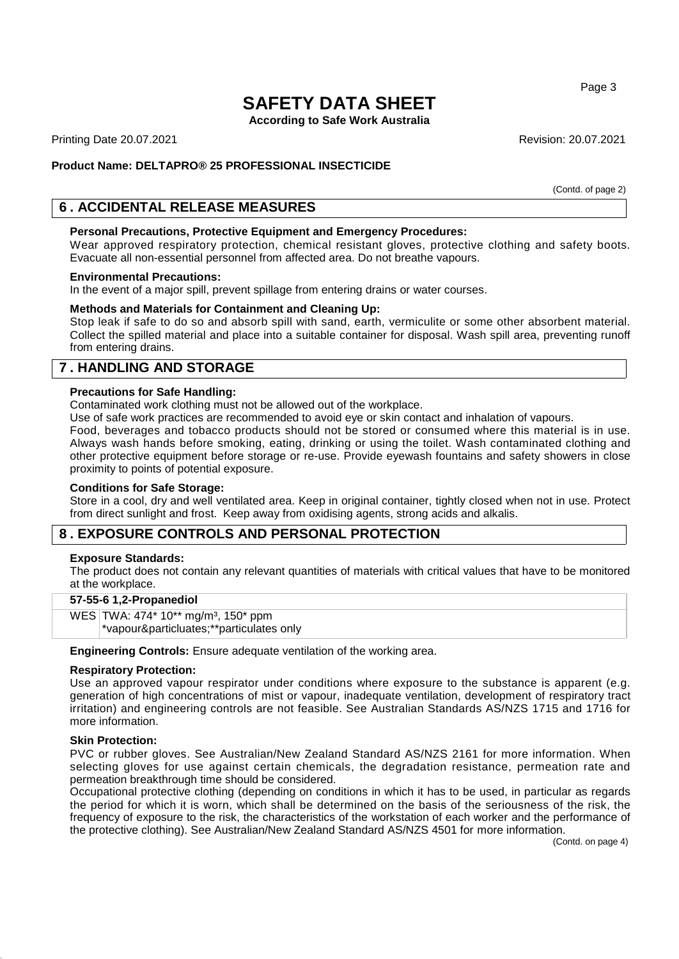**According to Safe Work Australia**

Printing Date 20.07.2021 **Revision: 20.07.2021** Revision: 20.07.2021

# **Product Name: DELTAPRO® 25 PROFESSIONAL INSECTICIDE**

(Contd. of page 2)

# **6 . ACCIDENTAL RELEASE MEASURES**

### **Personal Precautions, Protective Equipment and Emergency Procedures:**

Wear approved respiratory protection, chemical resistant gloves, protective clothing and safety boots. Evacuate all non-essential personnel from affected area. Do not breathe vapours.

#### **Environmental Precautions:**

In the event of a major spill, prevent spillage from entering drains or water courses.

## **Methods and Materials for Containment and Cleaning Up:**

Stop leak if safe to do so and absorb spill with sand, earth, vermiculite or some other absorbent material. Collect the spilled material and place into a suitable container for disposal. Wash spill area, preventing runoff from entering drains.

# **7 . HANDLING AND STORAGE**

#### **Precautions for Safe Handling:**

Contaminated work clothing must not be allowed out of the workplace.

Use of safe work practices are recommended to avoid eye or skin contact and inhalation of vapours.

Food, beverages and tobacco products should not be stored or consumed where this material is in use. Always wash hands before smoking, eating, drinking or using the toilet. Wash contaminated clothing and other protective equipment before storage or re-use. Provide eyewash fountains and safety showers in close proximity to points of potential exposure.

## **Conditions for Safe Storage:**

Store in a cool, dry and well ventilated area. Keep in original container, tightly closed when not in use. Protect from direct sunlight and frost. Keep away from oxidising agents, strong acids and alkalis.

# **8 . EXPOSURE CONTROLS AND PERSONAL PROTECTION**

#### **Exposure Standards:**

The product does not contain any relevant quantities of materials with critical values that have to be monitored at the workplace.

## **57-55-6 1,2-Propanediol**

WES TWA: 474\* 10\*\* mg/m<sup>3</sup>, 150\* ppm \*vapour&particluates;\*\*particulates only

**Engineering Controls:** Ensure adequate ventilation of the working area.

#### **Respiratory Protection:**

Use an approved vapour respirator under conditions where exposure to the substance is apparent (e.g. generation of high concentrations of mist or vapour, inadequate ventilation, development of respiratory tract irritation) and engineering controls are not feasible. See Australian Standards AS/NZS 1715 and 1716 for more information.

#### **Skin Protection:**

PVC or rubber gloves. See Australian/New Zealand Standard AS/NZS 2161 for more information. When selecting gloves for use against certain chemicals, the degradation resistance, permeation rate and permeation breakthrough time should be considered.

Occupational protective clothing (depending on conditions in which it has to be used, in particular as regards the period for which it is worn, which shall be determined on the basis of the seriousness of the risk, the frequency of exposure to the risk, the characteristics of the workstation of each worker and the performance of the protective clothing). See Australian/New Zealand Standard AS/NZS 4501 for more information.

(Contd. on page 4)

Page 3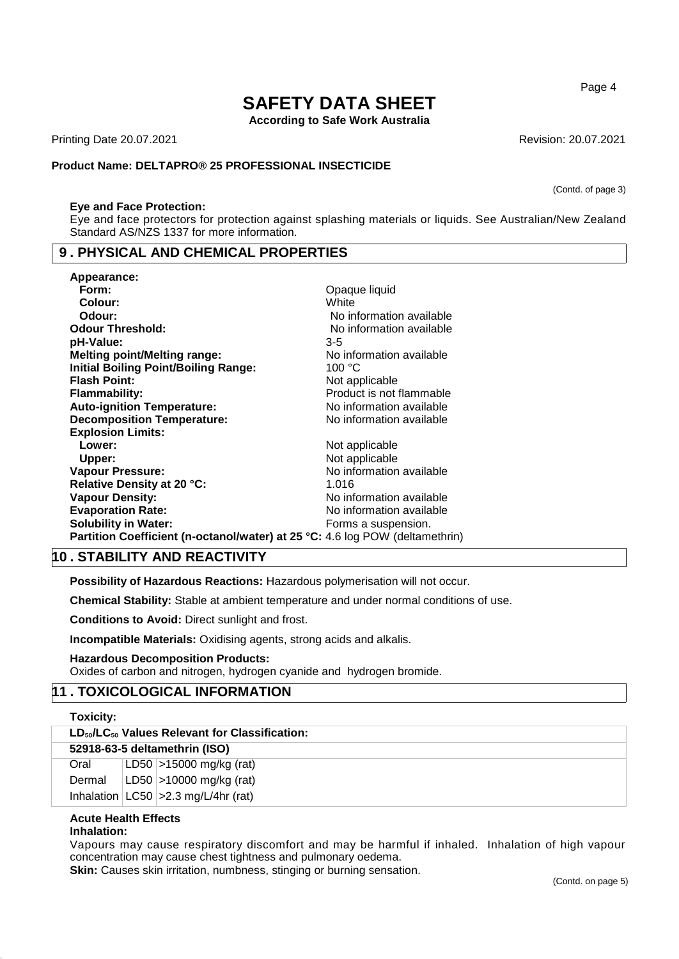**According to Safe Work Australia**

Printing Date 20.07.2021 **Revision: 20.07.2021** Revision: 20.07.2021

## **Product Name: DELTAPRO® 25 PROFESSIONAL INSECTICIDE**

#### **Eye and Face Protection:**

Eye and face protectors for protection against splashing materials or liquids. See Australian/New Zealand Standard AS/NZS 1337 for more information.

# **9 . PHYSICAL AND CHEMICAL PROPERTIES**

| Appearance:                                                                  |                          |
|------------------------------------------------------------------------------|--------------------------|
| Form:                                                                        | Opaque liquid            |
| Colour:                                                                      | White                    |
| Odour:                                                                       | No information available |
| <b>Odour Threshold:</b>                                                      | No information available |
| pH-Value:                                                                    | 3-5                      |
| <b>Melting point/Melting range:</b>                                          | No information available |
| <b>Initial Boiling Point/Boiling Range:</b>                                  | 100 °C                   |
| <b>Flash Point:</b>                                                          | Not applicable           |
| Flammability:                                                                | Product is not flammable |
| <b>Auto-ignition Temperature:</b>                                            | No information available |
| <b>Decomposition Temperature:</b>                                            | No information available |
| <b>Explosion Limits:</b>                                                     |                          |
| Lower:                                                                       | Not applicable           |
| Upper:                                                                       | Not applicable           |
| Vapour Pressure:                                                             | No information available |
| Relative Density at 20 °C:                                                   | 1.016                    |
| <b>Vapour Density:</b>                                                       | No information available |
| <b>Evaporation Rate:</b>                                                     | No information available |
| <b>Solubility in Water:</b>                                                  | Forms a suspension.      |
| Partition Coefficient (n-octanol/water) at 25 °C: 4.6 log POW (deltamethrin) |                          |

# **10 . STABILITY AND REACTIVITY**

**Possibility of Hazardous Reactions:** Hazardous polymerisation will not occur.

**Chemical Stability:** Stable at ambient temperature and under normal conditions of use.

**Conditions to Avoid:** Direct sunlight and frost.

**Incompatible Materials:** Oxidising agents, strong acids and alkalis.

# **Hazardous Decomposition Products:**

Oxides of carbon and nitrogen, hydrogen cyanide and hydrogen bromide.

# **11 . TOXICOLOGICAL INFORMATION**

| Toxicity:            |                                                       |
|----------------------|-------------------------------------------------------|
|                      | $LD_{50}/LC_{50}$ Values Relevant for Classification: |
|                      | 52918-63-5 deltamethrin (ISO)                         |
| Oral                 | LD50 >15000 mg/kg (rat)                               |
| Dermal               | LD50 >10000 mg/kg (rat)                               |
|                      | Inhalation $ LC50  > 2.3$ mg/L/4hr (rat)              |
| Acute Hoalth Effects |                                                       |

#### **Acute Health Effects Inhalation:**

Vapours may cause respiratory discomfort and may be harmful if inhaled. Inhalation of high vapour concentration may cause chest tightness and pulmonary oedema.

**Skin:** Causes skin irritation, numbness, stinging or burning sensation.

Page 4

(Contd. of page 3)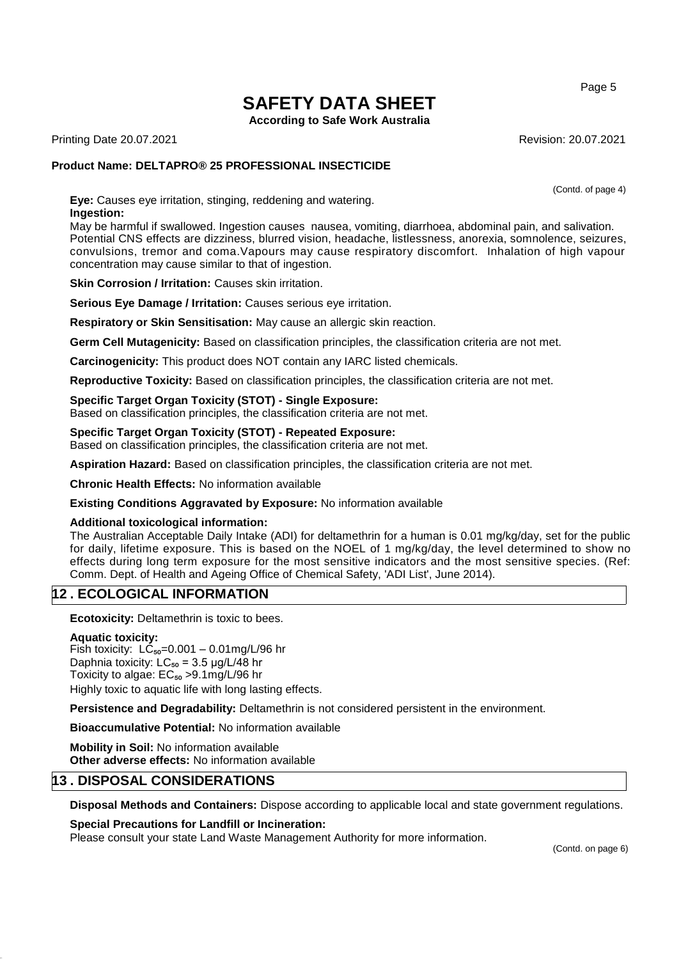**According to Safe Work Australia**

Printing Date 20.07.2021 **Revision: 20.07.2021** Revision: 20.07.2021

# **Product Name: DELTAPRO® 25 PROFESSIONAL INSECTICIDE**

(Contd. of page 4)

**Eye:** Causes eye irritation, stinging, reddening and watering. **Ingestion:**

May be harmful if swallowed. Ingestion causes nausea, vomiting, diarrhoea, abdominal pain, and salivation. Potential CNS effects are dizziness, blurred vision, headache, listlessness, anorexia, somnolence, seizures, convulsions, tremor and coma.Vapours may cause respiratory discomfort. Inhalation of high vapour concentration may cause similar to that of ingestion.

**Skin Corrosion / Irritation: Causes skin irritation.** 

**Serious Eye Damage / Irritation:** Causes serious eye irritation.

**Respiratory or Skin Sensitisation:** May cause an allergic skin reaction.

**Germ Cell Mutagenicity:** Based on classification principles, the classification criteria are not met.

**Carcinogenicity:** This product does NOT contain any IARC listed chemicals.

**Reproductive Toxicity:** Based on classification principles, the classification criteria are not met.

## **Specific Target Organ Toxicity (STOT) - Single Exposure:**

Based on classification principles, the classification criteria are not met.

# **Specific Target Organ Toxicity (STOT) - Repeated Exposure:**

Based on classification principles, the classification criteria are not met.

**Aspiration Hazard:** Based on classification principles, the classification criteria are not met.

**Chronic Health Effects:** No information available

**Existing Conditions Aggravated by Exposure:** No information available

## **Additional toxicological information:**

The Australian Acceptable Daily Intake (ADI) for deltamethrin for a human is 0.01 mg/kg/day, set for the public for daily, lifetime exposure. This is based on the NOEL of 1 mg/kg/day, the level determined to show no effects during long term exposure for the most sensitive indicators and the most sensitive species. (Ref: Comm. Dept. of Health and Ageing Office of Chemical Safety, 'ADI List', June 2014).

# **12 . ECOLOGICAL INFORMATION**

**Ecotoxicity:** Deltamethrin is toxic to bees.

## **Aquatic toxicity:**

Fish toxicity:  $L\dot{C}_{50} = 0.001 - 0.01$ mg/L/96 hr Daphnia toxicity:  $LC_{50} = 3.5 \mu g/L/48$  hr Toxicity to algae:  $EC_{50} > 9.1$ mg/L/96 hr Highly toxic to aquatic life with long lasting effects.

**Persistence and Degradability:** Deltamethrin is not considered persistent in the environment.

**Bioaccumulative Potential:** No information available

**Mobility in Soil:** No information available **Other adverse effects:** No information available

# **13 . DISPOSAL CONSIDERATIONS**

**Disposal Methods and Containers:** Dispose according to applicable local and state government regulations.

# **Special Precautions for Landfill or Incineration:**

Please consult your state Land Waste Management Authority for more information.

Page 5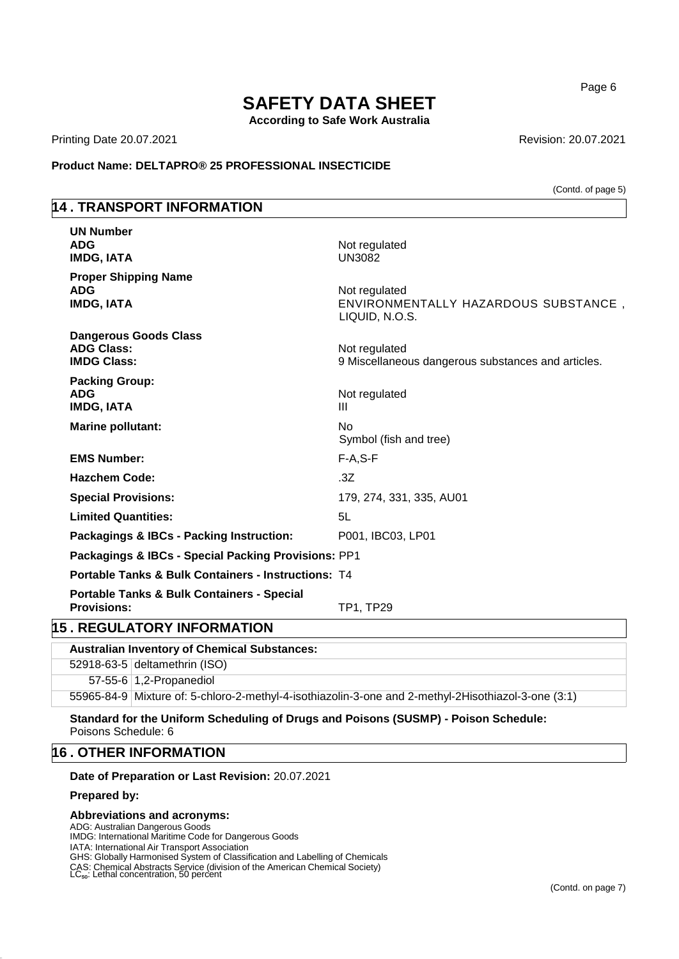**According to Safe Work Australia**

Printing Date 20.07.2021 **Revision: 20.07.2021** Revision: 20.07.2021

**Product Name: DELTAPRO® 25 PROFESSIONAL INSECTICIDE**

(Contd. of page 5)

# **14 . TRANSPORT INFORMATION**

| <b>UN Number</b><br><b>ADG</b><br><b>IMDG, IATA</b>                         | Not regulated<br><b>UN3082</b>                                          |
|-----------------------------------------------------------------------------|-------------------------------------------------------------------------|
| <b>Proper Shipping Name</b><br><b>ADG</b><br><b>IMDG, IATA</b>              | Not regulated<br>ENVIRONMENTALLY HAZARDOUS SUBSTANCE,<br>LIQUID, N.O.S. |
| <b>Dangerous Goods Class</b><br><b>ADG Class:</b><br><b>IMDG Class:</b>     | Not regulated<br>9 Miscellaneous dangerous substances and articles.     |
| <b>Packing Group:</b><br><b>ADG</b><br><b>IMDG, IATA</b>                    | Not regulated<br>Ш                                                      |
| <b>Marine pollutant:</b>                                                    | <b>No</b><br>Symbol (fish and tree)                                     |
| <b>EMS Number:</b>                                                          | $F-A, S-F$                                                              |
| <b>Hazchem Code:</b>                                                        | .3Z                                                                     |
| <b>Special Provisions:</b>                                                  | 179, 274, 331, 335, AU01                                                |
| <b>Limited Quantities:</b>                                                  | 5L                                                                      |
| <b>Packagings &amp; IBCs - Packing Instruction:</b>                         | P001, IBC03, LP01                                                       |
| Packagings & IBCs - Special Packing Provisions: PP1                         |                                                                         |
| <b>Portable Tanks &amp; Bulk Containers - Instructions: T4</b>              |                                                                         |
| <b>Portable Tanks &amp; Bulk Containers - Special</b><br><b>Provisions:</b> | <b>TP1, TP29</b>                                                        |
| <b>5 . REGULATORY INFORMATION</b>                                           |                                                                         |
| Australian Inventory of Chemical Substances:                                |                                                                         |

# **15 . REGULATORY INFORMATION**

| <b>Australian Inventory of Chemical Substances:</b>                                                 |
|-----------------------------------------------------------------------------------------------------|
| 52918-63-5 deltamethrin (ISO)                                                                       |
| 57-55-6 1.2-Propanediol                                                                             |
| 55965-84-9 Mixture of: 5-chloro-2-methyl-4-isothiazolin-3-one and 2-methyl-2Hisothiazol-3-one (3:1) |

**Standard for the Uniform Scheduling of Drugs and Poisons (SUSMP) - Poison Schedule:** Poisons Schedule: 6

# **16 . OTHER INFORMATION**

### **Date of Preparation or Last Revision:** 20.07.2021

# **Prepared by:**

# **Abbreviations and acronyms:**

ADG: Australian Dangerous Goods IMDG: International Maritime Code for Dangerous Goods IATA: International Air Transport Association GHS: Globally Harmonised System of Classification and Labelling of Chemicals CAS: Chemical Abstracts Service (division of the American Chemical Society)<br>LC<sub>so</sub>: Lethal concentration, 50 percent